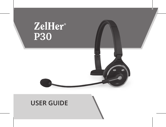

# **USER GUIDE**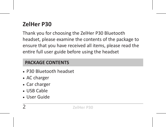# **ZelHer P30**

Thank you for choosing the ZelHer P30 Bluetooth headset, please examine the contents of the package to ensure that you have received all items, please read the entire full user guide before using the headset

#### **PACKAGE CONTENTS**

- P30 Bluetooth headset
- AC charger
- Car charger
- USB Cable
- User Guide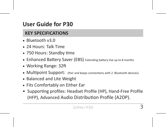# **User Guide for P30**

#### **KEY SPECIFICATIONS**

- Bluetooth v3.0
- 24 Hours: Talk Time
- 750 Hours: Standby time
- Enhanced Battery Saver (EBS) Extending battery live up to 8 months
- Working Range: 32ft
- Multipoint Support: (Pair and keeps connections with 2 Bluetooth devices)
- Balanced and Lite Weight
- Fits Comfortably on Either Ear
- Supporting profiles: Headset Profile (HP), Hand-Free Profile (HFP), Advanced Audio Distribution Profile (A2DP).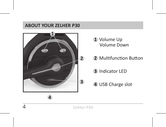#### **ABOUT YOUR ZELHER P30**



- Volume Up Volume Down
- Multifunction Button
- Indicator LED
- USB Charge slot

**ZelHer P30**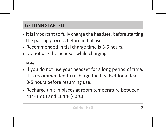# **GETTING STARTED**

- It is important to fully charge the headset, before starting the pairing process before initial use.
- Recommended Initial charge time is 3-5 hours.
- Do not use the headset while charging.

 **Note:**

- If you do not use your headset for a long period of time, it is recommended to recharge the headset for at least 3-5 hours before resuming use.
- Recharge unit in places at room temperature between 41°F (5°C) and 104°F (40°C).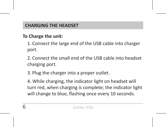## **CHARGING THE HEADSET**

# **To Charge the unit:**

1. Connect the large end of the USB cable into charger port.

2. Connect the small end of the USB cable into headset charging port.

3. Plug the charger into a proper outlet.

4. While charging, the indicator light on headset will turn red, when charging is complete; the indicator light will change to blue, flashing once every 10 seconds.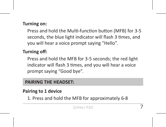#### **Turning on:**

Press and hold the Multi-function button (MFB) for 3-5 seconds, the blue light indicator will flash 3 times, and you will hear a voice prompt saying "Hello".

#### **Turning off:**

Press and hold the MFB for 3-5 seconds; the red light indicator will flash 3 times, and you will hear a voice prompt saying "Good bye".

#### **PAIRING THE HEADSET:**

**Pairing to 1 device**

1. Press and hold the MFB for approximately 6-8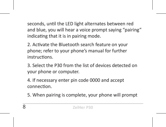seconds, until the LED light alternates between red and blue, you will hear a voice prompt saying "pairing" indicating that it is in pairing mode.

2. Activate the Bluetooth search feature on your phone; refer to your phone's manual for further instructions.

3. Select the P30 from the list of devices detected on your phone or computer.

4. If necessary enter pin code 0000 and accept connection.

5. When pairing is complete, your phone will prompt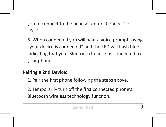you to connect to the headset enter "Connect" or  $^{\prime\prime}$ Yes".

6. When connected you will hear a voice prompt saying "your device is connected" and the LED will flash blue indicating that your Bluetooth headset is connected to your phone.

#### **Pairing a 2nd Device:**

1. Pair the first phone following the steps above.

2. Temporarily turn off the first connected phone's Bluetooth wireless technology function.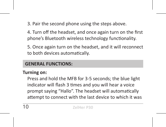3. Pair the second phone using the steps above.

4. Turn off the headset, and once again turn on the first phone's Bluetooth wireless technology functionality.

5. Once again turn on the headset, and it will reconnect to both devices automatically.

#### **GENERAL FUNCTIONS:**

#### **Turning on:**

Press and hold the MFB for 3-5 seconds; the blue light indicator will flash 3 times and you will hear a voice prompt saying "Hallo". The headset will automatically attempt to connect with the last device to which it was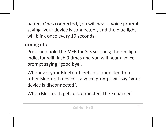paired. Ones connected, you will hear a voice prompt saying "your device is connected", and the blue light will blink once every 10 seconds.

## **Turning off:**

Press and hold the MFB for 3-5 seconds; the red light indicator will flash 3 times and you will hear a voice prompt saying "good bye".

Whenever your Bluetooth gets disconnected from other Bluetooth devices, a voice prompt will say "your device is disconnected".

When Bluetooth gets disconnected, the Enhanced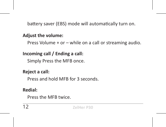battery saver (EBS) mode will automatically turn on.

#### **Adjust the volume:**

Press Volume + or – while on a call or streaming audio.

# **Incoming call / Ending a call:**

Simply Press the MFB once.

#### **Reject a call:**

Press and hold MFB for 3 seconds.

## **Redial:**

Press the MFB twice.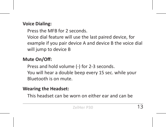## **Voice Dialing:**

- Press the MFB for 2 seconds.
- Voice dial feature will use the last paired device, for example if you pair device A and device B the voice dial will jump to device B

# **Mute On/Off:**

Press and hold volume (-) for 2-3 seconds. You will hear a double beep every 15 sec. while your Bluetooth is on mute.

## **Wearing the Headset:**

This headset can be worn on either ear and can be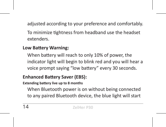adjusted according to your preference and comfortably.

To minimize tightness from headband use the headset extenders.

# **Low Battery Warning:**

When battery will reach to only 10% of power, the indicator light will begin to blink red and you will hear a voice prompt saying "low battery" every 30 seconds.

# **Enhanced Battery Saver (EBS):**

**Extending battery live up to 8 months** 

When Bluetooth power is on without being connected to any paired Bluetooth device, the blue light will start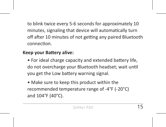to blink twice every 5-6 seconds for approximately 10 minutes, signaling that device will automatically turn off after 10 minutes of not getting any paired Bluetooth connection.

#### **Keep your Battery alive:**

- For ideal charge capacity and extended battery life, do not overcharge your Bluetooth headset; wait until you get the Low battery warning signal.
- Make sure to keep this product within the recommended temperature range of -4°F (-20°C) and 104°F (40°C).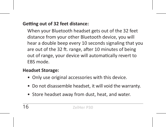## **Getting out of 32 feet distance:**

When your Bluetooth headset gets out of the 32 feet distance from your other Bluetooth device, you will hear a double beep every 10 seconds signaling that you are out of the 32 ft. range, after 10 minutes of being out of range, your device will automatically revert to EBS mode.

#### **Headset Storage:**

- Only use original accessories with this device.
- Do not disassemble headset, it will void the warranty.
- Store headset away from dust, heat, and water.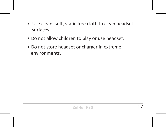- Use clean, soft, static free cloth to clean headset surfaces.
- Do not allow children to play or use headset.
- Do not store headset or charger in extreme environments.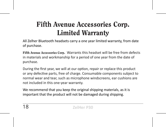# Fifth Avenue Accessories Corp. Limited Warranty

All Zelher Bluetooth headsets carry a one year limited warranty, from date of purchase.

Fifth Avenue Accessories Corp**.** Warrants this headset will be free from defects in materials and workmanship for a period of one year from the date of purchase.

During the first year, we will at our option, repair or replace this product or any defective parts, free of charge. Consumable components subject to normal wear and tear, such as microphone windscreens, ear cushions are not included in this one-year warranty.

We recommend that you keep the original shipping materials, as it is important that the product will not be damaged during shipping.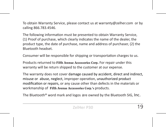To obtain Warranty Service, please contact us at warranty@zelher.com or by calling 866.783.4546.

The following information must be presented to obtain Warranty Service, (1) Proof of purchase, which clearly indicates the name of the dealer, the product type, the date of purchase, name and address of purchaser, (2) the Bluetooth headset.

Consumer will be responsible for shipping or transportation charges to us.

Products returned to Fifth Avenue Accessories Corp**.** For repair under this warranty will be return shipped to the customer at our expense.

The warranty does not cover damage caused by accident, direct and indirect, misuse or abuse, neglect, improper operation, unauthorized product modification or repairs, or any cause other than defects in the materials or workmanship of Fifth Avenue Accessories Corp**.'s** products.

The Bluetooth® word mark and logos are owned by the Bluetooth SIG, Inc.